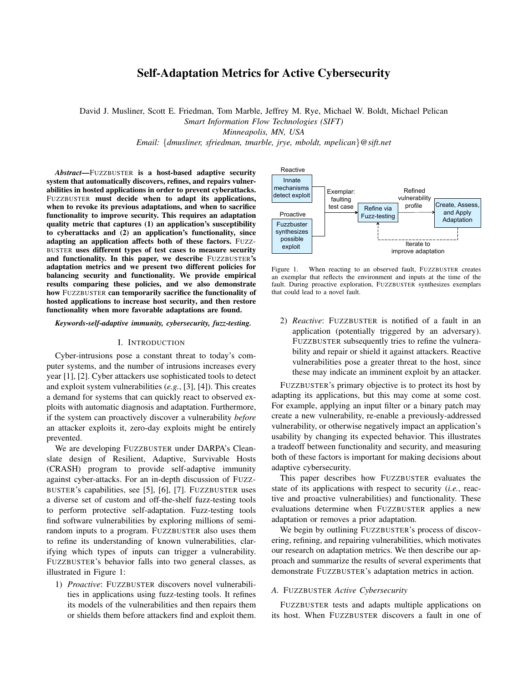# Self-Adaptation Metrics for Active Cybersecurity

David J. Musliner, Scott E. Friedman, Tom Marble, Jeffrey M. Rye, Michael W. Boldt, Michael Pelican *Smart Information Flow Technologies (SIFT)*

*Minneapolis, MN, USA*

*Email:* {*dmusliner, sfriedman, tmarble, jrye, mboldt, mpelican*}*@sift.net*

*Abstract*—FUZZBUSTER is a host-based adaptive security system that automatically discovers, refines, and repairs vulnerabilities in hosted applications in order to prevent cyberattacks. FUZZBUSTER must decide when to adapt its applications, when to revoke its previous adaptations, and when to sacrifice functionality to improve security. This requires an adaptation quality metric that captures (1) an application's susceptibility to cyberattacks and (2) an application's functionality, since adapting an application affects both of these factors. FUZZ-BUSTER uses different types of test cases to measure security and functionality. In this paper, we describe FUZZBUSTER's adaptation metrics and we present two different policies for balancing security and functionality. We provide empirical results comparing these policies, and we also demonstrate how FUZZBUSTER can temporarily sacrifice the functionality of hosted applications to increase host security, and then restore functionality when more favorable adaptations are found.

*Keywords*-*self-adaptive immunity, cybersecurity, fuzz-testing.*

#### I. INTRODUCTION

Cyber-intrusions pose a constant threat to today's computer systems, and the number of intrusions increases every year [1], [2]. Cyber attackers use sophisticated tools to detect and exploit system vulnerabilities (*e.g.*, [3], [4]). This creates a demand for systems that can quickly react to observed exploits with automatic diagnosis and adaptation. Furthermore, if the system can proactively discover a vulnerability *before* an attacker exploits it, zero-day exploits might be entirely prevented.

We are developing FUZZBUSTER under DARPA's Cleanslate design of Resilient, Adaptive, Survivable Hosts (CRASH) program to provide self-adaptive immunity against cyber-attacks. For an in-depth discussion of FUZZ-BUSTER's capabilities, see [5], [6], [7]. FUZZBUSTER uses a diverse set of custom and off-the-shelf fuzz-testing tools to perform protective self-adaptation. Fuzz-testing tools find software vulnerabilities by exploring millions of semirandom inputs to a program. FUZZBUSTER also uses them to refine its understanding of known vulnerabilities, clarifying which types of inputs can trigger a vulnerability. FUZZBUSTER's behavior falls into two general classes, as illustrated in Figure 1:

1) *Proactive*: FUZZBUSTER discovers novel vulnerabilities in applications using fuzz-testing tools. It refines its models of the vulnerabilities and then repairs them or shields them before attackers find and exploit them.



Figure 1. When reacting to an observed fault, FUZZBUSTER creates an exemplar that reflects the environment and inputs at the time of the fault. During proactive exploration, FUZZBUSTER synthesizes exemplars that could lead to a novel fault.

2) *Reactive*: FUZZBUSTER is notified of a fault in an application (potentially triggered by an adversary). FUZZBUSTER subsequently tries to refine the vulnerability and repair or shield it against attackers. Reactive vulnerabilities pose a greater threat to the host, since these may indicate an imminent exploit by an attacker.

FUZZBUSTER's primary objective is to protect its host by adapting its applications, but this may come at some cost. For example, applying an input filter or a binary patch may create a new vulnerability, re-enable a previously-addressed vulnerability, or otherwise negatively impact an application's usability by changing its expected behavior. This illustrates a tradeoff between functionality and security, and measuring both of these factors is important for making decisions about adaptive cybersecurity.

This paper describes how FUZZBUSTER evaluates the state of its applications with respect to security (*i.e.*, reactive and proactive vulnerabilities) and functionality. These evaluations determine when FUZZBUSTER applies a new adaptation or removes a prior adaptation.

We begin by outlining FUZZBUSTER's process of discovering, refining, and repairing vulnerabilities, which motivates our research on adaptation metrics. We then describe our approach and summarize the results of several experiments that demonstrate FUZZBUSTER's adaptation metrics in action.

## *A.* FUZZBUSTER *Active Cybersecurity*

FUZZBUSTER tests and adapts multiple applications on its host. When FUZZBUSTER discovers a fault in one of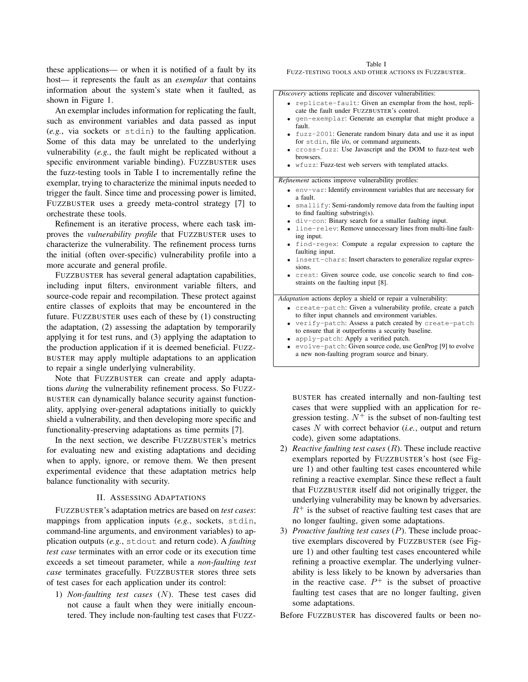these applications— or when it is notified of a fault by its host— it represents the fault as an *exemplar* that contains information about the system's state when it faulted, as shown in Figure 1.

An exemplar includes information for replicating the fault, such as environment variables and data passed as input (*e.g.*, via sockets or stdin) to the faulting application. Some of this data may be unrelated to the underlying vulnerability (*e.g.*, the fault might be replicated without a specific environment variable binding). FUZZBUSTER uses the fuzz-testing tools in Table I to incrementally refine the exemplar, trying to characterize the minimal inputs needed to trigger the fault. Since time and processing power is limited, FUZZBUSTER uses a greedy meta-control strategy [7] to orchestrate these tools.

Refinement is an iterative process, where each task improves the *vulnerability profile* that FUZZBUSTER uses to characterize the vulnerability. The refinement process turns the initial (often over-specific) vulnerability profile into a more accurate and general profile.

FUZZBUSTER has several general adaptation capabilities, including input filters, environment variable filters, and source-code repair and recompilation. These protect against entire classes of exploits that may be encountered in the future. FUZZBUSTER uses each of these by (1) constructing the adaptation, (2) assessing the adaptation by temporarily applying it for test runs, and (3) applying the adaptation to the production application if it is deemed beneficial. FUZZ-BUSTER may apply multiple adaptations to an application to repair a single underlying vulnerability.

Note that FUZZBUSTER can create and apply adaptations *during* the vulnerability refinement process. So FUZZ-BUSTER can dynamically balance security against functionality, applying over-general adaptations initially to quickly shield a vulnerability, and then developing more specific and functionality-preserving adaptations as time permits [7].

In the next section, we describe FUZZBUSTER's metrics for evaluating new and existing adaptations and deciding when to apply, ignore, or remove them. We then present experimental evidence that these adaptation metrics help balance functionality with security.

#### II. ASSESSING ADAPTATIONS

FUZZBUSTER's adaptation metrics are based on *test cases*: mappings from application inputs (*e.g.*, sockets, stdin, command-line arguments, and environment variables) to application outputs (*e.g.*, stdout and return code). A *faulting test case* terminates with an error code or its execution time exceeds a set timeout parameter, while a *non-faulting test case* terminates gracefully. FUZZBUSTER stores three sets of test cases for each application under its control:

1) *Non-faulting test cases* (N). These test cases did not cause a fault when they were initially encountered. They include non-faulting test cases that FUZZ-

Table I FUZZ-TESTING TOOLS AND OTHER ACTIONS IN FUZZBUSTER.

*Discovery* actions replicate and discover vulnerabilities:

- replicate-fault: Given an exemplar from the host, replicate the fault under FUZZBUSTER's control.
- gen-exemplar: Generate an exemplar that might produce a fault.
- fuzz-2001: Generate random binary data and use it as input for stdin, file i/o, or command arguments.
- cross-fuzz: Use Javascript and the DOM to fuzz-test web browsers.
- wfuzz: Fuzz-test web servers with templated attacks.

*Refinement* actions improve vulnerability profiles:

- env-var: Identify environment variables that are necessary for a fault.
- smallify: Semi-randomly remove data from the faulting input to find faulting substring(s).
- div-con: Binary search for a smaller faulting input.
- line-relev: Remove unnecessary lines from multi-line faulting input.
- find-regex: Compute a regular expression to capture the faulting input.
- insert-chars: Insert characters to generalize regular expressions.
- crest: Given source code, use concolic search to find constraints on the faulting input [8].

*Adaptation* actions deploy a shield or repair a vulnerability:

- create-patch: Given a vulnerability profile, create a patch to filter input channels and environment variables.
- verify-patch: Assess a patch created by create-patch to ensure that it outperforms a security baseline.
- apply-patch: Apply a verified patch.
- evolve-patch: Given source code, use GenProg [9] to evolve a new non-faulting program source and binary.

BUSTER has created internally and non-faulting test cases that were supplied with an application for regression testing.  $N^+$  is the subset of non-faulting test cases N with correct behavior (*i.e.*, output and return code), given some adaptations.

- 2) *Reactive faulting test cases* (R). These include reactive exemplars reported by FUZZBUSTER's host (see Figure 1) and other faulting test cases encountered while refining a reactive exemplar. Since these reflect a fault that FUZZBUSTER itself did not originally trigger, the underlying vulnerability may be known by adversaries.  $R^+$  is the subset of reactive faulting test cases that are no longer faulting, given some adaptations.
- 3) *Proactive faulting test cases* (P). These include proactive exemplars discovered by FUZZBUSTER (see Figure 1) and other faulting test cases encountered while refining a proactive exemplar. The underlying vulnerability is less likely to be known by adversaries than in the reactive case.  $P^+$  is the subset of proactive faulting test cases that are no longer faulting, given some adaptations.

Before FUZZBUSTER has discovered faults or been no-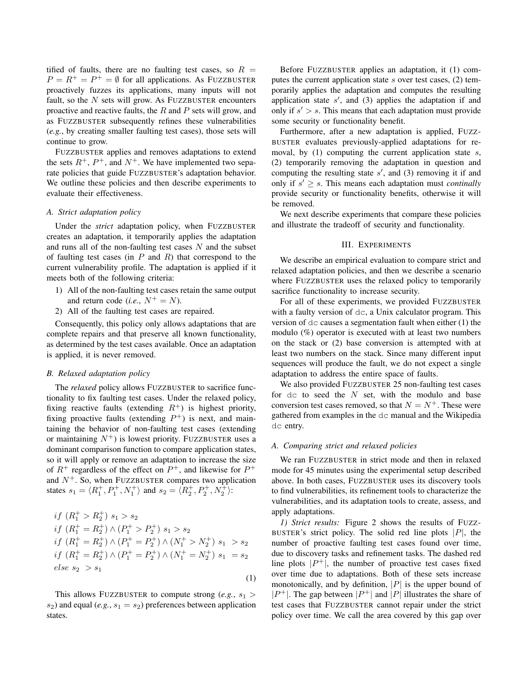tified of faults, there are no faulting test cases, so  $R =$  $P = R^+ = P^+ = \emptyset$  for all applications. As FUZZBUSTER proactively fuzzes its applications, many inputs will not fault, so the  $N$  sets will grow. As FUZZBUSTER encounters proactive and reactive faults, the  $R$  and  $P$  sets will grow, and as FUZZBUSTER subsequently refines these vulnerabilities (*e.g.*, by creating smaller faulting test cases), those sets will continue to grow.

FUZZBUSTER applies and removes adaptations to extend the sets  $R^+$ ,  $P^+$ , and  $N^+$ . We have implemented two separate policies that guide FUZZBUSTER's adaptation behavior. We outline these policies and then describe experiments to evaluate their effectiveness.

## *A. Strict adaptation policy*

Under the *strict* adaptation policy, when FUZZBUSTER creates an adaptation, it temporarily applies the adaptation and runs all of the non-faulting test cases  $N$  and the subset of faulting test cases (in  $P$  and  $R$ ) that correspond to the current vulnerability profile. The adaptation is applied if it meets both of the following criteria:

- 1) All of the non-faulting test cases retain the same output and return code (*i.e.*,  $N^+ = N$ ).
- 2) All of the faulting test cases are repaired.

Consequently, this policy only allows adaptations that are complete repairs and that preserve all known functionality, as determined by the test cases available. Once an adaptation is applied, it is never removed.

#### *B. Relaxed adaptation policy*

The *relaxed* policy allows FUZZBUSTER to sacrifice functionality to fix faulting test cases. Under the relaxed policy, fixing reactive faults (extending  $R^+$ ) is highest priority, fixing proactive faults (extending  $P^+$ ) is next, and maintaining the behavior of non-faulting test cases (extending or maintaining  $N^+$ ) is lowest priority. FUZZBUSTER uses a dominant comparison function to compare application states, so it will apply or remove an adaptation to increase the size of  $R^+$  regardless of the effect on  $P^+$ , and likewise for  $P^+$ and  $N^{+}$ . So, when FUZZBUSTER compares two application states  $s_1 = \langle R_1^+, P_1^+, N_1^+ \rangle$  and  $s_2 = \langle R_2^+, P_2^+, N_2^+ \rangle$ :

$$
if (R_1^+ > R_2^+) s_1 > s_2
$$
  
\n
$$
if (R_1^+ = R_2^+) \land (P_1^+ > P_2^+) s_1 > s_2
$$
  
\n
$$
if (R_1^+ = R_2^+) \land (P_1^+ = P_2^+) \land (N_1^+ > N_2^+) s_1 > s_2
$$
  
\n
$$
if (R_1^+ = R_2^+) \land (P_1^+ = P_2^+) \land (N_1^+ = N_2^+) s_1 = s_2
$$
  
\n
$$
else s_2 > s_1
$$
\n(1)

This allows FUZZBUSTER to compute strong  $(e.g., s_1 >$  $s_2$ ) and equal (*e.g.*,  $s_1 = s_2$ ) preferences between application states.

Before FUZZBUSTER applies an adaptation, it (1) computes the current application state  $s$  over test cases,  $(2)$  temporarily applies the adaptation and computes the resulting application state  $s'$ , and (3) applies the adaptation if and only if  $s' > s$ . This means that each adaptation must provide some security or functionality benefit.

Furthermore, after a new adaptation is applied, FUZZ-BUSTER evaluates previously-applied adaptations for removal, by  $(1)$  computing the current application state s, (2) temporarily removing the adaptation in question and computing the resulting state  $s'$ , and (3) removing it if and only if  $s' \geq s$ . This means each adaptation must *continally* provide security or functionality benefits, otherwise it will be removed.

We next describe experiments that compare these policies and illustrate the tradeoff of security and functionality.

#### III. EXPERIMENTS

We describe an empirical evaluation to compare strict and relaxed adaptation policies, and then we describe a scenario where FUZZBUSTER uses the relaxed policy to temporarily sacrifice functionality to increase security.

For all of these experiments, we provided FUZZBUSTER with a faulty version of dc, a Unix calculator program. This version of dc causes a segmentation fault when either (1) the modulo (%) operator is executed with at least two numbers on the stack or (2) base conversion is attempted with at least two numbers on the stack. Since many different input sequences will produce the fault, we do not expect a single adaptation to address the entire space of faults.

We also provided FUZZBUSTER 25 non-faulting test cases for  $dc$  to seed the  $N$  set, with the modulo and base conversion test cases removed, so that  $N = N^{+}$ . These were gathered from examples in the dc manual and the Wikipedia dc entry.

## *A. Comparing strict and relaxed policies*

We ran FUZZBUSTER in strict mode and then in relaxed mode for 45 minutes using the experimental setup described above. In both cases, FUZZBUSTER uses its discovery tools to find vulnerabilities, its refinement tools to characterize the vulnerabilities, and its adaptation tools to create, assess, and apply adaptations.

*1) Strict results:* Figure 2 shows the results of FUZZ-BUSTER's strict policy. The solid red line plots  $|P|$ , the number of proactive faulting test cases found over time, due to discovery tasks and refinement tasks. The dashed red line plots  $|P^+|$ , the number of proactive test cases fixed over time due to adaptations. Both of these sets increase monotonically, and by definition,  $|P|$  is the upper bound of  $|P^+|$ . The gap between  $|P^+|$  and  $|P|$  illustrates the share of test cases that FUZZBUSTER cannot repair under the strict policy over time. We call the area covered by this gap over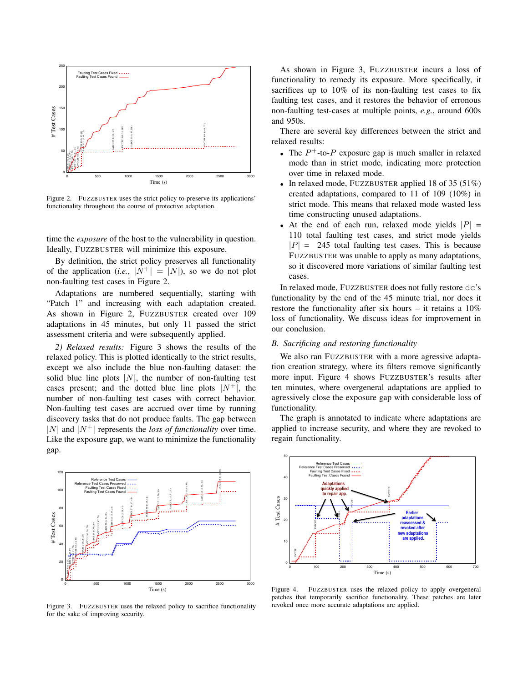

Figure 2. FUZZBUSTER uses the strict policy to preserve its applications' functionality throughout the course of protective adaptation.

time the *exposure* of the host to the vulnerability in question. Ideally, FUZZBUSTER will minimize this exposure.

By definition, the strict policy preserves all functionality of the application (*i.e.*,  $|N^+| = |N|$ ), so we do not plot non-faulting test cases in Figure 2.

Adaptations are numbered sequentially, starting with "Patch 1" and increasing with each adaptation created. As shown in Figure 2, FUZZBUSTER created over 109 adaptations in 45 minutes, but only 11 passed the strict assessment criteria and were subsequently applied.

*2) Relaxed results:* Figure 3 shows the results of the relaxed policy. This is plotted identically to the strict results, except we also include the blue non-faulting dataset: the solid blue line plots  $|N|$ , the number of non-faulting test cases present; and the dotted blue line plots  $|N^+|$ , the number of non-faulting test cases with correct behavior. Non-faulting test cases are accrued over time by running discovery tasks that do not produce faults. The gap between  $|N|$  and  $|N^+|$  represents the *loss of functionality* over time. Like the exposure gap, we want to minimize the functionality gap.



Figure 3. FUZZBUSTER uses the relaxed policy to sacrifice functionality for the sake of improving security.

As shown in Figure 3, FUZZBUSTER incurs a loss of functionality to remedy its exposure. More specifically, it sacrifices up to 10% of its non-faulting test cases to fix faulting test cases, and it restores the behavior of erronous non-faulting test-cases at multiple points, *e.g.*, around 600s and 950s.

There are several key differences between the strict and relaxed results:

- The  $P^+$ -to- $P$  exposure gap is much smaller in relaxed mode than in strict mode, indicating more protection over time in relaxed mode.
- In relaxed mode, FUZZBUSTER applied 18 of 35 (51%) created adaptations, compared to 11 of 109 (10%) in strict mode. This means that relaxed mode wasted less time constructing unused adaptations.
- At the end of each run, relaxed mode yields  $|P|$  = 110 total faulting test cases, and strict mode yields  $|P| = 245$  total faulting test cases. This is because FUZZBUSTER was unable to apply as many adaptations, so it discovered more variations of similar faulting test cases.

In relaxed mode, FUZZBUSTER does not fully restore dc's functionality by the end of the 45 minute trial, nor does it restore the functionality after six hours – it retains a 10% loss of functionality. We discuss ideas for improvement in our conclusion.

## *B. Sacrificing and restoring functionality*

We also ran FUZZBUSTER with a more agressive adaptation creation strategy, where its filters remove significantly more input. Figure 4 shows FUZZBUSTER's results after ten minutes, where overgeneral adaptations are applied to agressively close the exposure gap with considerable loss of functionality.

The graph is annotated to indicate where adaptations are applied to increase security, and where they are revoked to regain functionality.



Figure 4. FUZZBUSTER uses the relaxed policy to apply overgeneral patches that temporarily sacrifice functionality. These patches are later revoked once more accurate adaptations are applied.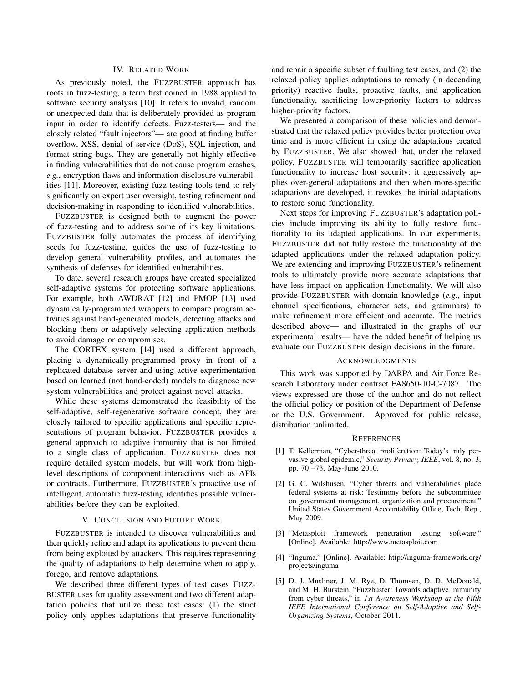## IV. RELATED WORK

As previously noted, the FUZZBUSTER approach has roots in fuzz-testing, a term first coined in 1988 applied to software security analysis [10]. It refers to invalid, random or unexpected data that is deliberately provided as program input in order to identify defects. Fuzz-testers— and the closely related "fault injectors"— are good at finding buffer overflow, XSS, denial of service (DoS), SQL injection, and format string bugs. They are generally not highly effective in finding vulnerabilities that do not cause program crashes, *e.g.*, encryption flaws and information disclosure vulnerabilities [11]. Moreover, existing fuzz-testing tools tend to rely significantly on expert user oversight, testing refinement and decision-making in responding to identified vulnerabilities.

FUZZBUSTER is designed both to augment the power of fuzz-testing and to address some of its key limitations. FUZZBUSTER fully automates the process of identifying seeds for fuzz-testing, guides the use of fuzz-testing to develop general vulnerability profiles, and automates the synthesis of defenses for identified vulnerabilities.

To date, several research groups have created specialized self-adaptive systems for protecting software applications. For example, both AWDRAT [12] and PMOP [13] used dynamically-programmed wrappers to compare program activities against hand-generated models, detecting attacks and blocking them or adaptively selecting application methods to avoid damage or compromises.

The CORTEX system [14] used a different approach, placing a dynamically-programmed proxy in front of a replicated database server and using active experimentation based on learned (not hand-coded) models to diagnose new system vulnerabilities and protect against novel attacks.

While these systems demonstrated the feasibility of the self-adaptive, self-regenerative software concept, they are closely tailored to specific applications and specific representations of program behavior. FUZZBUSTER provides a general approach to adaptive immunity that is not limited to a single class of application. FUZZBUSTER does not require detailed system models, but will work from highlevel descriptions of component interactions such as APIs or contracts. Furthermore, FUZZBUSTER's proactive use of intelligent, automatic fuzz-testing identifies possible vulnerabilities before they can be exploited.

## V. CONCLUSION AND FUTURE WORK

FUZZBUSTER is intended to discover vulnerabilities and then quickly refine and adapt its applications to prevent them from being exploited by attackers. This requires representing the quality of adaptations to help determine when to apply, forego, and remove adaptations.

We described three different types of test cases FUZZ-BUSTER uses for quality assessment and two different adaptation policies that utilize these test cases: (1) the strict policy only applies adaptations that preserve functionality and repair a specific subset of faulting test cases, and (2) the relaxed policy applies adaptations to remedy (in decending priority) reactive faults, proactive faults, and application functionality, sacrificing lower-priority factors to address higher-priority factors.

We presented a comparison of these policies and demonstrated that the relaxed policy provides better protection over time and is more efficient in using the adaptations created by FUZZBUSTER. We also showed that, under the relaxed policy, FUZZBUSTER will temporarily sacrifice application functionality to increase host security: it aggressively applies over-general adaptations and then when more-specific adaptations are developed, it revokes the initial adaptations to restore some functionality.

Next steps for improving FUZZBUSTER's adaptation policies include improving its ability to fully restore functionality to its adapted applications. In our experiments, FUZZBUSTER did not fully restore the functionality of the adapted applications under the relaxed adaptation policy. We are extending and improving FUZZBUSTER's refinement tools to ultimately provide more accurate adaptations that have less impact on application functionality. We will also provide FUZZBUSTER with domain knowledge (*e.g.*, input channel specifications, character sets, and grammars) to make refinement more efficient and accurate. The metrics described above— and illustrated in the graphs of our experimental results— have the added benefit of helping us evaluate our FUZZBUSTER design decisions in the future.

#### ACKNOWLEDGMENTS

This work was supported by DARPA and Air Force Research Laboratory under contract FA8650-10-C-7087. The views expressed are those of the author and do not reflect the official policy or position of the Department of Defense or the U.S. Government. Approved for public release, distribution unlimited.

#### **REFERENCES**

- [1] T. Kellerman, "Cyber-threat proliferation: Today's truly pervasive global epidemic," *Security Privacy, IEEE*, vol. 8, no. 3, pp. 70 –73, May-June 2010.
- [2] G. C. Wilshusen, "Cyber threats and vulnerabilities place federal systems at risk: Testimony before the subcommittee on government management, organization and procurement," United States Government Accountability Office, Tech. Rep., May 2009.
- [3] "Metasploit framework penetration testing software." [Online]. Available: http://www.metasploit.com
- [4] "Inguma." [Online]. Available: http://inguma-framework.org/ projects/inguma
- [5] D. J. Musliner, J. M. Rye, D. Thomsen, D. D. McDonald, and M. H. Burstein, "Fuzzbuster: Towards adaptive immunity from cyber threats," in *1st Awareness Workshop at the Fifth IEEE International Conference on Self-Adaptive and Self-Organizing Systems*, October 2011.